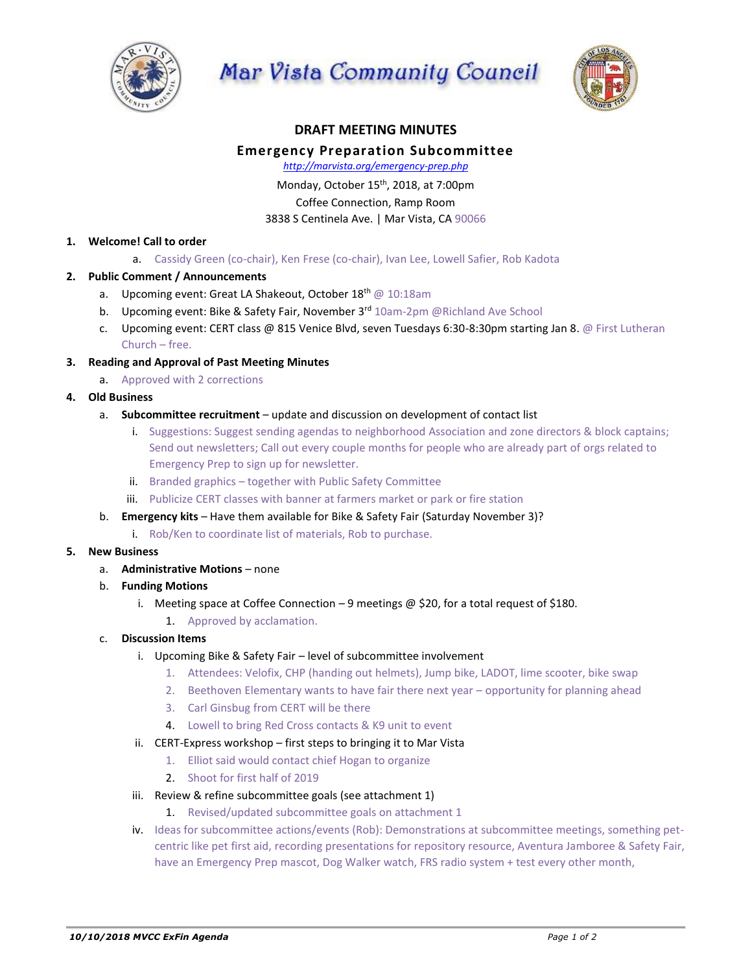

Mar Vista Community Council



# **DRAFT MEETING MINUTES**

# **Emergency Preparation Subcommittee**

*http://marvista.org/emergency-prep.php*

Monday, October 15<sup>th</sup>, 2018, at 7:00pm Coffee Connection, Ramp Room

3838 S Centinela Ave. | Mar Vista, CA 90066

#### **1. Welcome! Call to order**

a. Cassidy Green (co-chair), Ken Frese (co-chair), Ivan Lee, Lowell Safier, Rob Kadota

## **2. Public Comment / Announcements**

- a. Upcoming event: Great LA Shakeout, October 18<sup>th</sup> @ 10:18am
- b. Upcoming event: Bike & Safety Fair, November 3rd 10am-2pm @Richland Ave School
- c. Upcoming event: CERT class @ 815 Venice Blvd, seven Tuesdays 6:30-8:30pm starting Jan 8. @ First Lutheran Church – free.
- **3. Reading and Approval of Past Meeting Minutes**
	- a. Approved with 2 corrections

## **4. Old Business**

- a. **Subcommittee recruitment** update and discussion on development of contact list
	- i. Suggestions: Suggest sending agendas to neighborhood Association and zone directors & block captains; Send out newsletters; Call out every couple months for people who are already part of orgs related to Emergency Prep to sign up for newsletter.
	- ii. Branded graphics together with Public Safety Committee
	- iii. Publicize CERT classes with banner at farmers market or park or fire station
- b. **Emergency kits** Have them available for Bike & Safety Fair (Saturday November 3)?
	- i. Rob/Ken to coordinate list of materials, Rob to purchase.

#### **5. New Business**

- a. **Administrative Motions** none
- b. **Funding Motions**
	- i. Meeting space at Coffee Connection  $-9$  meetings @ \$20, for a total request of \$180.
		- 1. Approved by acclamation.

#### c. **Discussion Items**

- i. Upcoming Bike & Safety Fair level of subcommittee involvement
	- 1. Attendees: Velofix, CHP (handing out helmets), Jump bike, LADOT, lime scooter, bike swap
	- 2. Beethoven Elementary wants to have fair there next year opportunity for planning ahead
	- 3. Carl Ginsbug from CERT will be there
	- 4. Lowell to bring Red Cross contacts & K9 unit to event
- ii. CERT-Express workshop first steps to bringing it to Mar Vista
	- 1. Elliot said would contact chief Hogan to organize
	- 2. Shoot for first half of 2019
- iii. Review & refine subcommittee goals (see attachment 1)
	- 1. Revised/updated subcommittee goals on attachment 1
- iv. Ideas for subcommittee actions/events (Rob): Demonstrations at subcommittee meetings, something petcentric like pet first aid, recording presentations for repository resource, Aventura Jamboree & Safety Fair, have an Emergency Prep mascot, Dog Walker watch, FRS radio system + test every other month,